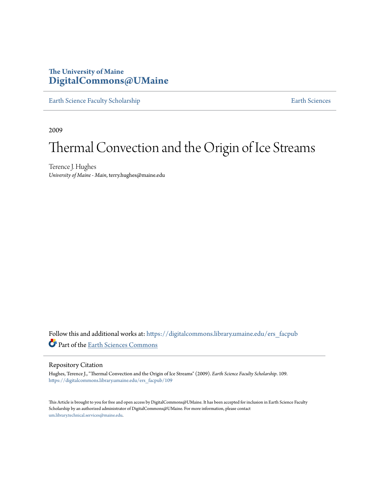## **The University of Maine [DigitalCommons@UMaine](https://digitalcommons.library.umaine.edu?utm_source=digitalcommons.library.umaine.edu%2Fers_facpub%2F109&utm_medium=PDF&utm_campaign=PDFCoverPages)**

[Earth Science Faculty Scholarship](https://digitalcommons.library.umaine.edu/ers_facpub?utm_source=digitalcommons.library.umaine.edu%2Fers_facpub%2F109&utm_medium=PDF&utm_campaign=PDFCoverPages) **[Earth Sciences](https://digitalcommons.library.umaine.edu/ers?utm_source=digitalcommons.library.umaine.edu%2Fers_facpub%2F109&utm_medium=PDF&utm_campaign=PDFCoverPages)** 

2009

# Thermal Convection and the Origin of Ice Streams

Terence J. Hughes *University of Maine - Main*, terry.hughes@maine.edu

Follow this and additional works at: [https://digitalcommons.library.umaine.edu/ers\\_facpub](https://digitalcommons.library.umaine.edu/ers_facpub?utm_source=digitalcommons.library.umaine.edu%2Fers_facpub%2F109&utm_medium=PDF&utm_campaign=PDFCoverPages) Part of the [Earth Sciences Commons](http://network.bepress.com/hgg/discipline/153?utm_source=digitalcommons.library.umaine.edu%2Fers_facpub%2F109&utm_medium=PDF&utm_campaign=PDFCoverPages)

#### Repository Citation

Hughes, Terence J., "Thermal Convection and the Origin of Ice Streams" (2009). *Earth Science Faculty Scholarship*. 109. [https://digitalcommons.library.umaine.edu/ers\\_facpub/109](https://digitalcommons.library.umaine.edu/ers_facpub/109?utm_source=digitalcommons.library.umaine.edu%2Fers_facpub%2F109&utm_medium=PDF&utm_campaign=PDFCoverPages)

This Article is brought to you for free and open access by DigitalCommons@UMaine. It has been accepted for inclusion in Earth Science Faculty Scholarship by an authorized administrator of DigitalCommons@UMaine. For more information, please contact [um.library.technical.services@maine.edu](mailto:um.library.technical.services@maine.edu).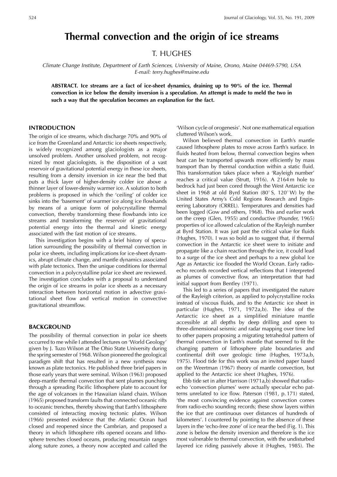# Thermal convection and the origin of ice streams

T. HUGHES

Climate Change Institute, Department of Earth Sciences, University of Maine, Orono, Maine 04469-5790, USA E-mail: terry.hughes@maine.edu

ABSTRACT. Ice streams are a fact of ice-sheet dynamics, draining up to 90% of the ice. Thermal convection in ice below the density inversion is a speculation. An attempt is made to meld the two in such a way that the speculation becomes an explanation for the fact.

### **INTRODUCTION**

The origin of ice streams, which discharge 70% and 90% of ice from the Greenland and Antarctic ice sheets respectively, is widely recognized among glaciologists as a major unsolved problem. Another unsolved problem, not recognized by most glaciologists, is the disposition of a vast reservoir of gravitational potential energy in these ice sheets, resulting from a density inversion in ice near the bed that puts a thick layer of higher-density colder ice above a thinner layer of lower-density warmer ice. A solution to both problems is proposed in which the 'ceiling' of colder ice sinks into the 'basement' of warmer ice along ice flowbands by means of a unique form of polycrystalline thermal convection, thereby transforming these flowbands into ice streams and transforming the reservoir of gravitational potential energy into the thermal and kinetic energy associated with the fast motion of ice streams.

This investigation begins with a brief history of speculation surrounding the possibility of thermal convection in polar ice sheets, including implications for ice-sheet dynamics, abrupt climate change, and mantle dynamics associated with plate tectonics. Then the unique conditions for thermal convection in a polycrystalline polar ice sheet are reviewed. The investigation concludes with a proposal to understand the origin of ice streams in polar ice sheets as a necessary interaction between horizontal motion in advective gravitational sheet flow and vertical motion in convective gravitational streamflow.

#### **BACKGROUND**

The possibility of thermal convection in polar ice sheets occurred to me while I attended lectures on 'World Geology' given by J. Tuzo Wilson at The Ohio State University during the spring semester of 1968. Wilson pioneered the geological paradigm shift that has resulted in a new synthesis now known as plate tectonics. He published three brief papers in those early years that were seminal. Wilson (1963) proposed deep-mantle thermal convection that sent plumes punching through a spreading Pacific lithosphere plate to account for the age of volcanoes in the Hawaiian island chain. Wilson (1965) proposed transform faults that connected oceanic rifts to oceanic trenches, thereby showing that Earth's lithosphere consisted of interacting moving tectonic plates. Wilson (1966) presented evidence that the Atlantic Ocean had closed and reopened since the Cambrian, and proposed a theory in which lithosphere rifts opened oceans and lithosphere trenches closed oceans, producing mountain ranges along suture zones, a theory now accepted and called the 'Wilson cycle of orogenesis'. Not one mathematical equation cluttered Wilson's work.

Wilson believed thermal convection in Earth's mantle caused lithosphere plates to move across Earth's surface. In fluids heated from below, thermal convection begins when heat can be transported upwards more efficiently by mass transport than by thermal conduction within a static fluid. This transformation takes place when a 'Rayleigh number' reaches a critical value (Strutt, 1916). A 2164m hole to bedrock had just been cored through the West Antarctic ice sheet in 1968 at old Byrd Station (80° S, 120° W) by the United States Army's Cold Regions Research and Engineering Laboratory (CRREL). Temperatures and densities had been logged (Gow and others, 1968). This and earlier work on the creep (Glen, 1955) and conductive (Pounder, 1965) properties of ice allowed calculation of the Rayleigh number at Byrd Station. It was just past the critical value for fluids (Hughes, 1970). I was so bold as to suggest that, if thermal convection in the Antarctic ice sheet were to initiate and propagate like a chain reaction through the ice, it could lead to a surge of the ice sheet and perhaps to a new global Ice Age as Antarctic ice flooded the World Ocean. Early radioecho records recorded vertical reflections that I interpreted as plumes of convective flow, an interpretation that had initial support from Bentley (1971).

This led to a series of papers that investigated the nature of the Rayleigh criterion, as applied to polycrystalline rocks instead of viscous fluids, and to the Antarctic ice sheet in particular (Hughes, 1971, 1972a,b). The idea of the Antarctic ice sheet as a simplified miniature mantle accessible at all depths by deep drilling and open to three-dimensional seismic and radar mapping over time led to other papers proposing a migrating tetrahedral pattern of thermal convection in Earth's mantle that seemed to fit the changing pattern of lithosphere plate boundaries and continental drift over geologic time (Hughes, 1973a,b, 1975). Flood tide for this work was an invited paper based on the Weertman (1967) theory of mantle convection, but applied to the Antarctic ice sheet (Hughes, 1976).

Ebb tide set in after Harrison (1971a,b) showed that radioecho 'convection plumes' were actually specular echo patterns unrelated to ice flow. Paterson (1981, p. 171) stated, 'the most convincing evidence against convection comes from radio-echo sounding records; these show layers within the ice that are continuous over distances of hundreds of kilometers'. I countered by pointing to the absence of these layers in the 'echo-free zone' of ice near the bed (Fig. 1). This zone is below the density inversion and therefore is the ice most vulnerable to thermal convection, with the undisturbed layered ice riding passively above it (Hughes, 1985). The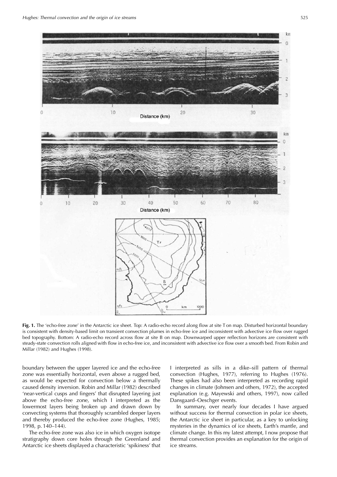

Fig. 1. The 'echo-free zone' in the Antarctic ice sheet. Top: A radio-echo record along flow at site T on map. Disturbed horizontal boundary is consistent with density-based limit on transient convection plumes in echo-free ice and inconsistent with advective ice flow over rugged bed topography. Bottom: A radio-echo record across flow at site B on map. Downwarped upper reflection horizons are consistent with steady-state convection rolls aligned with flow in echo-free ice, and inconsistent with advective ice flow over a smooth bed. From Robin and Millar (1982) and Hughes (1998).

boundary between the upper layered ice and the echo-free zone was essentially horizontal, even above a rugged bed, as would be expected for convection below a thermally caused density inversion. Robin and Millar (1982) described 'near-vertical cusps and fingers' that disrupted layering just above the echo-free zone, which I interpreted as the lowermost layers being broken up and drawn down by convecting systems that thoroughly scrambled deeper layers and thereby produced the echo-free zone (Hughes, 1985; 1998, p. 140-144).

The echo-free zone was also ice in which oxygen isotope stratigraphy down core holes through the Greenland and Antarctic ice sheets displayed a characteristic 'spikiness' that I interpreted as sills in a dike–sill pattern of thermal convection (Hughes, 1977), referring to Hughes (1976). These spikes had also been interpreted as recording rapid changes in climate (Johnsen and others, 1972), the accepted explanation (e.g. Mayewski and others, 1997), now called Dansgaard-Oeschger events.

In summary, over nearly four decades I have argued without success for thermal convection in polar ice sheets, the Antarctic ice sheet in particular, as a key to unlocking mysteries in the dynamics of ice sheets, Earth's mantle, and climate change. In this my latest attempt, I now propose that thermal convection provides an explanation for the origin of ice streams.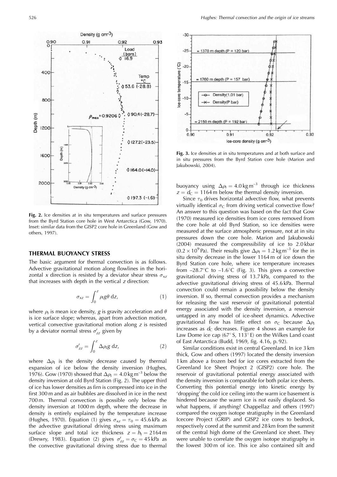

Fig. 2. Ice densities at in situ temperatures and surface pressures from the Byrd Station core hole in West Antarctica (Gow, 1970). Inset: similar data from the GISP2 core hole in Greenland (Gow and others, 1997).

#### **THERMAL BUOYANCY STRESS**

The basic argument for thermal convection is as follows. Advective gravitational motion along flowlines in the horizontal x direction is resisted by a deviator shear stress  $\sigma_{xz}$ that increases with depth in the vertical z direction:

$$
\sigma_{xz} = \int_0^z \rho_{\rm I} g \theta \, \mathrm{d} z,\tag{1}
$$

where  $\rho_1$  is mean ice density, g is gravity acceleration and  $\theta$ is ice surface slope; whereas, apart from advection motion, vertical convective gravitational motion along  $z$  is resisted by a deviator normal stress  $\sigma'_{zz}$  given by

$$
\sigma_{zz}' = \int_0^z \Delta \rho_1 g \, dz,\tag{2}
$$

where  $\Delta \rho_1$  is the density decrease caused by thermal expansion of ice below the density inversion (Hughes, 1976). Gow (1970) showed that  $\Delta \rho_l = 4.0 \text{ kg m}^{-3}$  below the density inversion at old Byrd Station (Fig. 2). The upper third of ice has lower densities as firn is compressed into ice in the first 300 m and as air bubbles are dissolved in ice in the next 700 m. Thermal convection is possible only below the density inversion at 1000 m depth, where the decrease in density is entirely explained by the temperature increase (Hughes, 1970). Equation (1) gives  $\sigma_{xz} = \tau_0 = 45.6$  kPa as the advective gravitational driving stress using maximum surface slope and total ice thickness  $z = h_1 = 2164 \text{ m}$ (Drewry, 1983). Equation (2) gives  $\sigma'_{zz} = \sigma_C = 45$  kPa as the convective gravitational driving stress due to thermal



Fig. 3. Ice densities at in situ temperatures and at both surface and in situ pressures from the Byrd Station core hole (Marion and Jakubowski, 2004).

buoyancy using  $\Delta \rho_l = 4.0 \text{ kg m}^{-3}$  through ice thickness  $z = d_C = 1164$  m below the thermal density inversion.

Since  $\tau_0$  drives horizontal advective flow, what prevents virtually identical  $\sigma_C$  from driving vertical convective flow? An answer to this question was based on the fact that Gow (1970) measured ice densities from ice cores removed from the core hole at old Byrd Station, so ice densities were measured at the surface atmospheric pressure, not at in situ pressures down the core hole. Marion and Jakubowski (2004) measured the compressibility of ice to 2.0 kbar  $(0.2 \times 10^{9} \text{ Pa})$ . Their results give  $\Delta \rho_1 = 1.2 \text{ kg m}^{-3}$  for the in situ density decrease in the lower 1164 m of ice down the Byrd Station core hole, where ice temperature increases from  $-28.7^{\circ}$ C to  $-1.6^{\circ}$ C (Fig. 3). This gives a convective gravitational driving stress of 13.7 kPa, compared to the advective gravitational driving stress of 45.6 kPa. Thermal convection could remain a possibility below the density inversion. If so, thermal convection provides a mechanism for releasing the vast reservoir of gravitational potential energy associated with the density inversion, a reservoir untapped in any model of ice-sheet dynamics. Advective gravitational flow has little effect on  $\sigma_C$  because  $\Delta \rho_I$ increases as  $d_C$  decreases. Figure 4 shows an example for Law Dome ice cap (67° S, 113° E) on the Wilkes Land coast of East Antarctica (Budd, 1969, fig. 4.16, p. 92).

Similar conditions exist in central Greenland. In ice 3 km thick, Gow and others (1997) located the density inversion 1 km above a frozen bed for ice cores extracted from the Greenland Ice Sheet Project 2 (GISP2) core hole. The reservoir of gravitational potential energy associated with the density inversion is comparable for both polar ice sheets. Converting this potential energy into kinetic energy by 'dropping' the cold ice ceiling into the warm ice basement is hindered because the warm ice is not easily displaced. So what happens, if anything? Chappellaz and others (1997) compared the oxygen isotope stratigraphy in the Greenland Icecore Project (GRIP) and GISP2 ice cores to bedrock, respectively cored at the summit and 28 km from the summit of the central high dome of the Greenland ice sheet. They were unable to correlate the oxygen isotope stratigraphy in the lowest 300 m of ice. This ice also contained silt and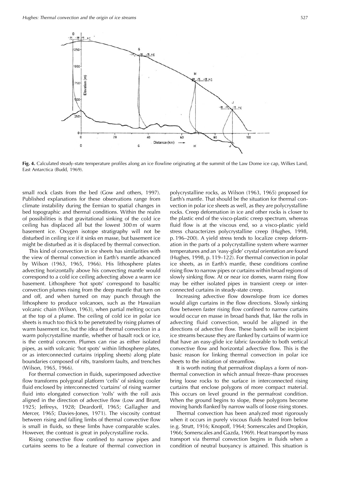

Fig. 4. Calculated steady-state temperature profiles along an ice flowline originating at the summit of the Law Dome ice cap, Wilkes Land, East Antarctica (Budd, 1969).

small rock clasts from the bed (Gow and others, 1997). Published explanations for these observations range from climate instability during the Eemian to spatial changes in bed topographic and thermal conditions. Within the realm of possibilities is that gravitational sinking of the cold ice ceiling has displaced all but the lowest 300 m of warm basement ice. Oxygen isotope stratigraphy will not be disturbed in ceiling ice if it sinks en masse, but basement ice might be disturbed as it is displaced by thermal convection.

This kind of convection in ice sheets has similarities with the view of thermal convection in Earth's mantle advanced by Wilson (1963, 1965, 1966). His lithosphere plates advecting horizontally above his convecting mantle would correspond to a cold ice ceiling advecting above a warm ice basement. Lithosphere 'hot spots' correspond to basaltic convection plumes rising from the deep mantle that turn on and off, and when turned on may punch through the lithosphere to produce volcanoes, such as the Hawaiian volcanic chain (Wilson, 1963), when partial melting occurs at the top of a plume. The ceiling of cold ice in polar ice sheets is much too thick to be penetrated by rising plumes of warm basement ice, but the idea of thermal convection in a warm polycrystalline mantle, whether of basalt rock or ice, is the central concern. Plumes can rise as either isolated pipes, as with volcanic 'hot spots' within lithosphere plates, or as interconnected curtains (rippling sheets) along plate boundaries composed of rifts, transform faults, and trenches (Wilson, 1965, 1966).

For thermal convection in fluids, superimposed advective flow transforms polygonal platform 'cells' of sinking cooler fluid enclosed by interconnected 'curtains' of rising warmer fluid into elongated convection 'rolls' with the roll axis aligned in the direction of advective flow (Low and Brunt, 1925; Jeffreys, 1928; Deardorff, 1965; Gallagher and Mercer, 1965; Davies-Jones, 1971). The viscosity contrast between rising and falling limbs of thermal convective flow is small in fluids, so these limbs have comparable scales. However, the contrast is great in polycrystalline rocks.

Rising convective flow confined to narrow pipes and curtains seems to be a feature of thermal convection in

polycrystalline rocks, as Wilson (1963, 1965) proposed for Earth's mantle. That should be the situation for thermal convection in polar ice sheets as well, as they are polycrystalline rocks. Creep deformation in ice and other rocks is closer to the plastic end of the visco-plastic creep spectrum, whereas fluid flow is at the viscous end, so a visco-plastic vield stress characterizes polycrystalline creep (Hughes, 1998, p. 196-200). A yield stress tends to localize creep deformation in the parts of a polycrystalline system where warmer temperatures and an 'easy-glide' crystal orientation are found (Hughes, 1998, p. 119-122). For thermal convection in polar ice sheets, as in Earth's mantle, these conditions confine rising flow to narrow pipes or curtains within broad regions of slowly sinking flow. At or near ice domes, warm rising flow may be either isolated pipes in transient creep or interconnected curtains in steady-state creep.

Increasing advective flow downslope from ice domes would align curtains in the flow directions. Slowly sinking flow between faster rising flow confined to narrow curtains would occur en masse in broad bands that, like the rolls in advecting fluid convection, would be aligned in the directions of advective flow. These bands will be incipient ice streams because they are flanked by curtains of warm ice that have an easy-glide ice fabric favorable to both vertical convective flow and horizontal advective flow. This is the basic reason for linking thermal convection in polar ice sheets to the initiation of streamflow.

It is worth noting that permafrost displays a form of nonthermal convection in which annual freeze-thaw processes bring loose rocks to the surface in interconnected rising curtains that enclose polygons of more compact material. This occurs on level ground in the permafrost condition. When the ground begins to slope, these polygons become moving bands flanked by narrow walls of loose rising stones.

Thermal convection has been analyzed most rigorously when it occurs in purely viscous fluids heated from below (e.g. Strutt, 1916; Knopoff, 1964; Somerscales and Dropkin, 1966; Somerscales and Gazda, 1969). Heat transport by mass transport via thermal convection begins in fluids when a condition of neutral buoyancy is attained. This situation is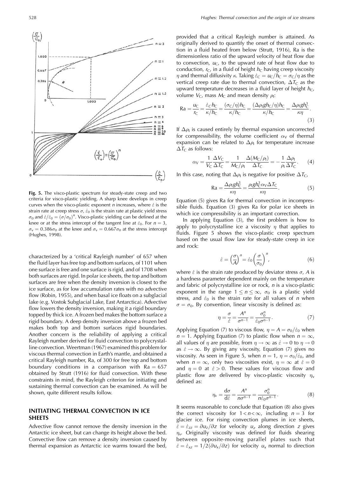

Fig. 5. The visco-plastic spectrum for steady-state creep and two criteria for visco-plastic yielding. A sharp knee develops in creep curves when the visco-plastic exponent  $n$  increases, where  $\dot{\varepsilon}$  is the strain rate at creep stress  $\sigma$ ,  $\dot{\varepsilon}_0$  is the strain rate at plastic yield stress  $\sigma_0$  and  $\dot{\varepsilon}/\dot{\varepsilon}_0 = (\sigma/\sigma_0)^n$ . Visco-plastic yielding can be defined at the knee or at the stress intercept of the tangent line at  $\dot{\varepsilon}_0$ . For  $n=3$ ,  $\sigma_{v} = 0.386\sigma_0$  at the knee and  $\sigma_{v} = 0.667\sigma_0$  at the stress intercept (Hughes, 1998).

characterized by a 'critical Rayleigh number' of 657 when the fluid layer has free top and bottom surfaces, of 1101 when one surface is free and one surface is rigid, and of 1708 when both surfaces are rigid. In polar ice sheets, the top and bottom surfaces are free when the density inversion is closest to the ice surface, as for low accumulation rates with no advective flow (Robin, 1955), and when basal ice floats on a subglacial lake (e.g. Vostok Subglacial Lake, East Antarctica). Advective flow lowers the density inversion, making it a rigid boundary topped by thick ice. A frozen bed makes the bottom surface a rigid boundary. A deep density inversion above a frozen bed makes both top and bottom surfaces rigid boundaries. Another concern is the reliability of applying a critical Rayleigh number derived for fluid convection to polycrystalline convection. Weertman (1967) examined this problem for viscous thermal convection in Earth's mantle, and obtained a critical Rayleigh number, Ra, of 300 for free top and bottom boundary conditions in a comparison with  $Ra = 657$ obtained by Strutt (1916) for fluid convection. With these constraints in mind, the Rayleigh criterion for initiating and sustaining thermal convection can be examined. As will be shown, quite different results follow.

## **INITIATING THERMAL CONVECTION IN ICE SHEETS**

Advective flow cannot remove the density inversion in the Antarctic ice sheet, but can change its height above the bed. Convective flow can remove a density inversion caused by thermal expansion as Antarctic ice warms toward the bed,

provided that a critical Rayleigh number is attained. As originally derived to quantify the onset of thermal convection in a fluid heated from below (Strutt, 1916), Ra is the dimensionless ratio of the upward velocity of heat flow due to convection,  $u_C$ , to the upward rate of heat flow due to conduction,  $r_C$ , in a fluid of height  $h_C$  having creep viscosity  $\eta$  and thermal diffusivity  $\kappa$ . Taking  $\dot{\varepsilon}_C = u_C/h_C = \sigma_C/\eta$  as the vertical creep rate due to thermal convection,  $\Delta T_{\rm C}$  as the upward temperature decreases in a fluid layer of height  $h_{C}$ , volume  $V_C$ , mass  $M_C$  and mean density  $\rho_1$ :

$$
Ra = \frac{u_C}{r_C} = \frac{\dot{\varepsilon}_C h_C}{\kappa/h_C} = \frac{(\sigma_C/\eta)h_C}{\kappa/h_C} = \frac{(\Delta \rho_1 gh_C/\eta)h_C}{\kappa/h_C} = \frac{\Delta \rho_1 gh_C^3}{\kappa \eta}.
$$
\n(3)

If  $\Delta \rho_1$  is caused entirely by thermal expansion uncorrected for compressibility, the volume coefficient  $\alpha_V$  of thermal expansion can be related to  $\Delta \rho_1$  for temperature increase  $\Delta T_{\rm C}$  as follows:

$$
\alpha_{\rm V} = \frac{1}{V_{\rm C}} \frac{\Delta V_{\rm C}}{\Delta T_{\rm C}} = \frac{1}{M_{\rm C}/\rho_{\rm I}} \frac{\Delta (M_{\rm C}/\rho_{\rm I})}{\Delta T_{\rm C}} = -\frac{1}{\rho_{\rm I}} \frac{\Delta \rho_{\rm I}}{\Delta T_{\rm C}}.\tag{4}
$$

In this case, noting that  $\Delta \rho_1$  is negative for positive  $\Delta T_{\rm C}$ ,

$$
Ra = \frac{\Delta \rho_1 gh_C^3}{\kappa \eta} = \frac{\rho_1 gh_C^3 \alpha \sqrt{\Delta T_C}}{\kappa \eta}.
$$
 (5)

Equation (5) gives Ra for thermal convection in incompressible fluids. Equation (3) gives Ra for polar ice sheets in which ice compressibility is an important correction.

In applying Equation (3), the first problem is how to apply to polycrystalline ice a viscosity  $\eta$  that applies to fluids. Figure 5 shows the visco-plastic creep spectrum based on the usual flow law for steady-state creep in ice and rock:

$$
\dot{\varepsilon} = \left(\frac{\sigma}{A}\right)^n = \dot{\varepsilon}_0 \left(\frac{\sigma}{\sigma_0}\right)^n,\tag{6}
$$

where  $\dot{\varepsilon}$  is the strain rate produced by deviator stress  $\sigma$ , A is a hardness parameter dependent mainly on the temperature and fabric of polycrystalline ice or rock,  $n$  is a visco-plastic exponent in the range  $1 \le n \le \infty$ ,  $\sigma_0$  is a plastic yield stress, and  $\dot{\varepsilon}_0$  is the strain rate for all values of *n* when  $\sigma = \sigma_0$ . By convention, linear viscosity is defined as:

$$
\eta = \frac{\sigma}{\dot{\varepsilon}} = \frac{A^n}{\sigma^{n-1}} = \frac{\sigma_0^n}{\dot{\varepsilon}_0 \sigma^{n-1}}.
$$
\n(7)

Applying Equation (7) to viscous flow,  $\eta = A = \sigma_0/\dot{\varepsilon}_0$  when  $n = 1$ . Applying Equation (7) to plastic flow when  $n = \infty$ , all values of  $\eta$  are possible, from  $\eta \rightarrow \infty$  as  $\dot{\varepsilon} \rightarrow 0$  to  $\eta \rightarrow 0$ as  $\dot{\varepsilon} \to \infty$ . By giving any viscosity, Equation (7) gives no viscosity. As seen in Figure 5, when  $n = 1$ ,  $\eta = \sigma_0/\dot{\varepsilon}_0$ , and when  $n = \infty$ , only two viscosities exist,  $\eta = \infty$  at  $\dot{\varepsilon} = 0$ and  $\eta = 0$  at  $\dot{\varepsilon} > 0$ . These values for viscous flow and plastic flow are delivered by visco-plastic viscosity  $\eta_{\rm v}$ defined as:

$$
\eta_{v} = \frac{d\sigma}{d\dot{\varepsilon}} = \frac{A^{n}}{n\sigma^{n-1}} = \frac{\sigma_0^{n}}{n\dot{\varepsilon}_0\sigma^{n-1}}.
$$
\n(8)

It seems reasonable to conclude that Equation (8) also gives the correct viscosity for  $1 < n < \infty$ , including  $n = 3$  for glacier ice. For rising convection plumes in ice sheets,  $\dot{\varepsilon} = \dot{\varepsilon}_{zz} = \partial u_z / \partial z$  for velocity  $u_z$  along direction z gives  $\eta_{v}$ . Originally viscosity was defined for fluids shearing between opposite-moving parallel plates such that  $\dot{\varepsilon} = \dot{\varepsilon}_{xz} = 1/2(\partial u_x/\partial z)$  for velocity  $u_x$  normal to direction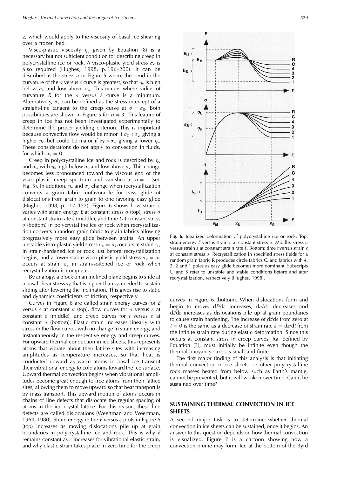z, which would apply to the viscosity of basal ice shearing over a frozen bed.

Visco-plastic viscosity  $\eta_v$  given by Equation (8) is a necessary but not sufficient condition for describing creep in polycrystalline ice or rock. A visco-plastic yield stress  $\sigma_v$  is also required (Hughes, 1998, p. 196-200). It can be described as the stress  $\sigma$  in Figure 5 where the bend in the curvature of the  $\sigma$  versus  $\dot{\varepsilon}$  curve is greatest, so that  $\eta_v$  is high below  $\sigma_v$  and low above  $\sigma_v$ . This occurs where radius of curvature R for the  $\sigma$  versus  $\dot{\varepsilon}$  curve is a minimum. Alternatively,  $\sigma_{v}$  can be defined as the stress intercept of a straight-line tangent to the creep curve at  $\sigma = \sigma_0$ . Both possibilities are shown in Figure 5 for  $n = 3$ . This feature of creep in ice has not been investigated experimentally to determine the proper yielding criterion. This is important because convective flow would be minor if  $\sigma_c < \sigma_w$  giving a higher  $\eta_w$  but could be major if  $\sigma_c > \sigma_w$  giving a lower  $\eta_w$ . These considerations do not apply to convection in fluids, for which  $\sigma_{v} = 0$ .

Creep in polycrystalline ice and rock is described by  $\eta_{v}$ and  $\sigma_w$  with  $\eta_v$  high below  $\sigma_v$  and low above  $\sigma_v$ . This change becomes less pronounced toward the viscous end of the visco-plastic creep spectrum and vanishes at  $n = 1$  (see Fig. 5). In addition,  $\eta_v$  and  $\sigma_v$  change when recrystallization converts a grain fabric unfavorable for easy glide of dislocations from grain to grain to one favoring easy glide (Hughes, 1998, p. 117-122). Figure 6 shows how strain  $\varepsilon$ varies with strain energy E at constant stress  $\sigma$  (top), stress  $\sigma$ at constant strain rate  $\dot{\varepsilon}$  (middle), and time t at constant stress  $\sigma$  (bottom) in polycrystalline ice or rock when recrystallization converts a random grain fabric to grain fabrics allowing progressively more easy glide between grains. An upper unstable visco-plastic yield stress  $\sigma_v = \sigma_{U}$  occurs at strain  $\varepsilon_{U}$ in strain-hardened ice or rock just before recrystallization begins, and a lower stable visco-plastic yield stress  $\sigma_{v} = \sigma_{S}$ occurs at strain  $\varepsilon$ <sub>S</sub> in strain-softened ice or rock when recrystallization is complete.

By analogy, a block on an inclined plane begins to slide at a basal shear stress  $\tau_0$  that is higher than  $\tau_0$  needed to sustain sliding after lowering the inclination. This gives rise to static and dynamics coefficients of friction, respectively.

Curves in Figure 6 are called strain energy curves for E versus  $\varepsilon$  at constant  $\sigma$  (top), flow curves for  $\sigma$  versus  $\varepsilon$  at constant  $\dot{\varepsilon}$  (middle), and creep curves for t versus  $\varepsilon$  at constant  $\sigma$  (bottom). Elastic strain increases linearly with stress in the flow curves with no change in strain energy, and instantaneously in the respective energy and creep curves. For upward thermal conduction in ice sheets, this represents atoms that vibrate about their lattice sites with increasing amplitudes as temperature increases, so that heat is conducted upward as warm atoms in basal ice transmit their vibrational energy to cold atoms toward the ice surface. Upward thermal convection begins when vibrational amplitudes become great enough to free atoms from their lattice sites, allowing them to move upward so that heat transport is by mass transport. This upward motion of atoms occurs in chains of line defects that dislocate the regular spacing of atoms in the ice crystal lattice. For this reason, these line defects are called dislocations (Weertman and Weertman, 1964, 1980). Strain energy in the Eversus  $\varepsilon$  plots in Figure 6 (top) increases as moving dislocations pile up at grain boundaries in polycrystalline ice and rock. This is why  $E$ remains constant as  $\varepsilon$  increases for vibrational elastic strain, and why elastic strain takes place in zero time for the creep

529



Fig. 6. Idealized deformation of polycrystalline ice or rock. Top: strain energy E versus strain  $\varepsilon$  at constant stress  $\sigma$ . Middle: stress  $\sigma$ versus strain  $\varepsilon$  at constant strain rate  $\dot{\varepsilon}$ . Bottom: time t versus strain  $\varepsilon$ at constant stress  $\sigma$ . Recrystallization in specified stress fields for a random grain fabric R produces circle fabrics C, and fabrics with 4, 3, 2 and 1 poles as easy glide becomes more dominant. Subscripts U and S refer to unstable and stable conditions before and after recrystallization, respectively (Hughes, 1998).

curves in Figure 6 (bottom). When dislocations form and begin to move, dE/d $\varepsilon$  increases, d $\sigma$ /d $\varepsilon$  decreases and  $dt/d\varepsilon$  increases as dislocations pile up at grain boundaries to cause strain hardening. The increase of  $dt/d\varepsilon$  from zero at  $t = 0$  is the same as a decrease of strain rate  $\dot{\varepsilon} = d\varepsilon/dt$  from the infinite strain rate during elastic deformation. Since this occurs at constant stress in creep curves, Ra, defined by Equation (3), must initially be infinite even though the thermal buoyancy stress is small and finite.

The first major finding of this analysis is that initiating thermal convection in ice sheets, or other polycrystalline rock masses heated from below such as Earth's mantle, cannot be prevented, but it will weaken over time. Can it be sustained over time?

### SUSTAINING THERMAL CONVECTION IN ICE SHEETS

A second major task is to determine whether thermal convection in ice sheets can be sustained, once it begins. An answer to this question depends on how thermal convection is visualized. Figure 7 is a cartoon showing how a convection plume may form. Ice at the bottom of the Byrd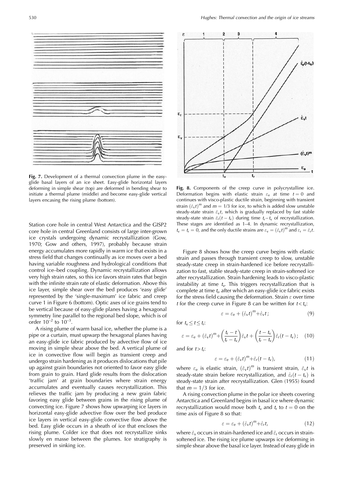

Fig. 7. Development of a thermal convection plume in the easyglide basal layers of an ice sheet. Easy-glide horizontal layers deforming in simple shear (top) are deformed in bending shear to initiate a thermal plume (middle) and become easy-glide vertical layers encasing the rising plume (bottom).

Station core hole in central West Antarctica and the GISP2 core hole in central Greenland consists of large inter-grown ice crystals undergoing dynamic recrystallization (Gow, 1970; Gow and others, 1997), probably because strain energy accumulates more rapidly in warm ice that exists in a stress field that changes continually as ice moves over a bed having variable roughness and hydrological conditions that control ice-bed coupling. Dynamic recrystallization allows very high strain rates, so this ice favors strain rates that begin with the infinite strain rate of elastic deformation. Above this ice layer, simple shear over the bed produces 'easy glide' represented by the 'single-maximum' ice fabric and creep curve 1 in Figure 6 (bottom). Optic axes of ice grains tend to be vertical because of easy-glide planes having a hexagonal symmetry line parallel to the regional bed slope, which is of order  $10^{-2}$  to  $10^{-3}$ .

A rising plume of warm basal ice, whether the plume is a pipe or a curtain, must upwarp the hexagonal planes having an easy-glide ice fabric produced by advective flow of ice moving in simple shear above the bed. A vertical plume of ice in convective flow will begin as transient creep and undergo strain hardening as it produces dislocations that pile up against grain boundaries not oriented to favor easy glide from grain to grain. Hard glide results from the dislocation 'traffic jam' at grain boundaries where strain energy accumulates and eventually causes recrystallization. This relieves the traffic jam by producing a new grain fabric favoring easy glide between grains in the rising plume of convecting ice. Figure 7 shows how upwarping ice layers in horizontal easy-glide advective flow over the bed produce ice layers in vertical easy-glide convective flow above the bed. Easy glide occurs in a sheath of ice that encloses the rising plume. Colder ice that does not recrystallize sinks slowly en masse between the plumes. Ice stratigraphy is preserved in sinking ice.



Fig. 8. Components of the creep curve in polycrystalline ice. Deformation begins with elastic strain  $\varepsilon_e$  at time  $t=0$  and continues with visco-plastic ductile strain, beginning with transient strain  $(\dot{\varepsilon}_v t)^m$  and  $m = 1/3$  for ice, to which is added slow unstable steady-state strain  $\dot{\varepsilon}_v t$ , which is gradually replaced by fast stable steady-state strain  $\varepsilon_r(t-t_v)$  during time  $t_r-t_v$  of recrystallization. These stages are identified as 1-4. In dynamic recrystallization,  $t_v = t_r = 0$ , and the only ductile strains are  $\varepsilon_v = (\dot{\varepsilon}_v t)^m$  and  $\varepsilon_r = \dot{\varepsilon}_r t$ .

Figure 8 shows how the creep curve begins with elastic strain and passes through transient creep to slow, unstable steady-state creep in strain-hardened ice before recrystallization to fast, stable steady-state creep in strain-softened ice after recrystallization. Strain hardening leads to visco-plastic instability at time  $t_v$ . This triggers recrystallization that is complete at time  $t_{r}$  after which an easy-glide ice fabric exists for the stress field causing the deformation. Strain  $\varepsilon$  over time t for the creep curve in Figure 8 can be written for  $t < t_{\rm v}$ :

$$
\varepsilon = \varepsilon_{\rm e} + (\dot{\varepsilon}_{\rm v} t)^m + \dot{\varepsilon}_{\rm v} t \tag{9}
$$

for  $t_v \le t \le t_r$ :

$$
\varepsilon = \varepsilon_{\rm e} + (\dot{\varepsilon}_{\rm v}t)^m + \left(\frac{t_{\rm r} - t}{t_{\rm r} - t_{\rm v}}\right)\dot{\varepsilon}_{\rm v}t + \left(\frac{t - t_{\rm v}}{t_{\rm r} - t_{\rm v}}\right)\dot{\varepsilon}_{\rm r}(t - t_{\rm v});\tag{10}
$$

and for  $t > t_r$ :

$$
\varepsilon = \varepsilon_{\rm e} + (\dot{\varepsilon}_{\rm v} t)^m + \dot{\varepsilon}_{\rm r} (t - t_{\rm v}), \qquad (11)
$$

where  $\varepsilon_e$  is elastic strain,  $(\dot{\varepsilon}_v t)^m$  is transient strain,  $\dot{\varepsilon}_v t$  is steady-state strain before recrystallization, and  $\dot{\varepsilon}_r(t - t_v)$  is steady-state strain after recrystallization. Glen (1955) found that  $m = 1/3$  for ice.

A rising convection plume in the polar ice sheets covering Antarctica and Greenland begins in basal ice where dynamic recrystallization would move both  $t_v$  and  $t_r$  to  $t = 0$  on the time axis of Figure 8 so that:

$$
\varepsilon = \varepsilon_{\rm e} + (\dot{\varepsilon}_{\rm v}t)^m + \dot{\varepsilon}_{\rm r}t,\tag{12}
$$

where  $\dot{\varepsilon}_v$  occurs in strain-hardened ice and  $\dot{\varepsilon}_r$  occurs in strainsoftened ice. The rising ice plume upwarps ice deforming in simple shear above the basal ice layer. Instead of easy glide in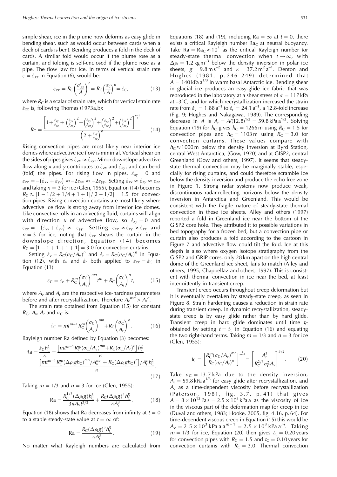simple shear, ice in the plume now deforms as easy glide in bending shear, such as would occur between cards when a deck of cards is bent. Bending produces a fold in the deck of cards. A similar fold would occur if the plume rose as a curtain, and folding is self-enclosed if the plume rose as a pipe. The flow law for ice, in terms of vertical strain rate  $\dot{\varepsilon} = \dot{\varepsilon}_{zz}$  in Equation (6), would be:

$$
\dot{\varepsilon}_{zz} = R_C \left(\frac{\sigma_{zz}'}{A}\right)^n = R_C \left(\frac{\sigma_c}{A}\right)^n = \dot{\varepsilon}_{C},\tag{13}
$$

where  $R_C$  is a scalar of strain rate, which for vertical strain rate  $\dot{\varepsilon}_{zz}$  is, following Thomas (1973a,b):

$$
R_{\rm C} = \frac{\left[1 + \frac{\dot{\varepsilon}_{\rm yr}}{\dot{\varepsilon}_{\rm zz}} + \left(\frac{\dot{\varepsilon}_{\rm yr}}{\dot{\varepsilon}_{\rm zz}}\right)^2 + \left(\frac{\dot{\varepsilon}_{\rm x}}{\dot{\varepsilon}_{\rm zz}}\right)^2 + \left(\frac{\dot{\varepsilon}_{\rm xz}}{\dot{\varepsilon}_{\rm zz}}\right)^2 + \left(\frac{\dot{\varepsilon}_{\rm yz}}{\dot{\varepsilon}_{\rm zz}}\right)^2 \right]^{\frac{n-1}{2}}}{{\left(2 + \frac{\dot{\varepsilon}_{\rm yr}}{\dot{\varepsilon}_{\rm zz}}\right)}^n}.
$$
 (14)

Rising convection pipes are most likely near interior ice domes where advective ice flow is minimal. Vertical shear on the sides of pipes gives  $\dot{\varepsilon}_{zx} \approx \dot{\varepsilon}_{zy}$ . Minor downslope advective flow along x and y contributes to  $\dot{\varepsilon}_{zx}$  and  $\dot{\varepsilon}_{zy}$ , and can bend (fold) the pipes. For rising flow in pipes,  $\dot{\varepsilon}_{xy} = 0$  and  $\dot{\varepsilon}_{zz} = -(\dot{\varepsilon}_{xx} + \dot{\varepsilon}_{yy}) \approx -2\dot{\varepsilon}_{xx} \approx -2\dot{\varepsilon}_{yy}$ . Setting  $\dot{\varepsilon}_{zx} \approx \dot{\varepsilon}_{zy} \approx \dot{\varepsilon}_{zz}$ and taking  $n = 3$  for ice (Glen, 1955), Equation (14) becomes  $R_C \approx [1 - 1/2 + 1/4 + 1 + 1]/[2 - 1/2] = 1.5$  for convection pipes. Rising convection curtains are most likely where advective ice flow is strong away from interior ice domes. Like convective rolls in an advecting fluid, curtains will align with direction x of advective flow, so  $\dot{\varepsilon}_{xy} = 0$  and  $\dot{\varepsilon}_{zz} = -(\dot{\varepsilon}_{xx} + \dot{\varepsilon}_{yy}) \approx -\dot{\varepsilon}_{yy}$ . Setting  $\dot{\varepsilon}_{xz} \approx \dot{\varepsilon}_{zy} \approx \dot{\varepsilon}_{zz}$  and  $n = 3$  for ice, noting that  $\dot{\varepsilon}_{xz}$  shears the curtain in the downslope direction, Equation (14) becomes  $R_C = [1 - 1 + 1 + 1 + 1] = 3.0$  for convection curtains.

Setting  $\dot{\varepsilon}_v = R_C(\sigma_C/A_v)^n$  and  $\dot{\varepsilon}_r = R_C(\sigma_C/A_r)^n$  in Equation (12), with  $\dot{\varepsilon}_v$  and  $\dot{\varepsilon}_r$  both applied to  $\dot{\varepsilon}_{zz} = \dot{\varepsilon}_C$  in Equation (13):

$$
\varepsilon_{\rm C} = \varepsilon_{\rm e} + R_{\rm C}^{m} \left(\frac{\sigma_{\rm C}}{A_{\rm v}}\right)^{mn} t^{m} + R_{\rm C} \left(\frac{\sigma_{\rm C}}{A_{\rm r}}\right)^{n} t, \tag{15}
$$

where  $A_v$  and  $A_r$  are the respective ice-hardness parameters before and after recrystallization. Therefore  $A_v^{mn} > A_r^n$ .

The strain rate obtained from Equation (15) for constant  $R_C$ ,  $A_v$ ,  $A_r$  and  $\sigma_C$  is:

$$
\dot{\varepsilon}_{\rm C} = mt^{m-1} R_{\rm C}^m \left(\frac{\sigma_{\rm C}}{A_{\rm v}}\right)^{mn} + R_{\rm C} \left(\frac{\sigma_{\rm C}}{A_{\rm r}}\right)^n. \tag{16}
$$

Rayleigh number Ra defined by Equation (3) becomes:

$$
Ra = \frac{\dot{\varepsilon}_{\rm C}h_{\rm C}^2}{\kappa} = \frac{\left[mt^{m-1}R_{\rm C}^m(\sigma_{\rm C}/A_{\rm v})^{mn} + R_{\rm C}(\sigma_{\rm C}/A_{\rm r})^n\right]h_{\rm C}^2}{\kappa}
$$

$$
= \frac{\left[mt^{m-1}R_{\rm C}^m(\Delta\rho g h_{\rm C})^{mn}/A_{\rm v}^{mn} + R_{\rm C}(\Delta\rho g h_{\rm C})^n\right]/A_{\rm r}^n h_{\rm C}^2}{\kappa}.
$$
(17)

Taking  $m = 1/3$  and  $n = 3$  for ice (Glen, 1955):

$$
Ra = \frac{R_C^{1/3}(\Delta \rho_l g)h_C^3}{3\kappa A_v t^{2/3}} + \frac{R_C(\Delta \rho_l g)^3 h_C^5}{\kappa A_l^3}.
$$
 (18)

Equation (18) shows that Ra decreases from infinity at  $t = 0$ to a stable steady-state value at  $t = \infty$  of:

$$
Ra = \frac{R_{\rm C}(\Delta \rho_{\rm I} g)^3 h_{\rm C}^5}{\kappa A_{\rm r}^3}.
$$
 (19)

No matter what Rayleigh numbers are calculated from

Equations (18) and (19), including Ra =  $\infty$  at  $t = 0$ , there exists a critical Rayleigh number  $Ra_C$  at neutral buoyancy. Take Ra =  $Ra_C \approx 10^3$  as the critical Rayleigh number for steady-state thermal convection when  $t\rightarrow\infty$ , with  $\Delta \rho_{I} = 1.2 \text{ kg m}^{-3}$  below the density inversion in polar ice sheets,  $g = 9.8 \text{ m s}^{-2}$  and  $\kappa = 37.2 \text{ m}^2 \text{ a}^{-1}$ . Denton and Hughes (1981, p. 246-249) determined that  $A = 140$  kPa a<sup>1/3</sup> in warm basal Antarctic ice. Bending shear in glacial ice produces an easy-glide ice fabric that was reproduced in the laboratory at a shear stress of  $\sigma = 117$  kPa at  $-3^{\circ}$ C, and for which recrystallization increased the strain rate from  $\dot{\varepsilon}_v = 1.88 a^{-1}$  to  $\dot{\varepsilon}_r = 24.1 a^{-1}$ , a 12.8-fold increase (Fig. 9; Hughes and Nakagawa, 1989). The corresponding decrease in A is  $A_r = A(12.8)^{1/3} = 59.8 \text{ kPa a}^{1/3}$ . Solving Equation (19) for  $h<sub>C</sub>$  gives  $h<sub>C</sub> = 1266$  m using  $R<sub>C</sub> = 1.5$  for convection pipes and  $h<sub>C</sub> = 1103$  m using  $R<sub>C</sub> = 3.0$  for convection curtains. These values compare with  $h<sub>C</sub> \approx 1000$  m below the density inversion at Byrd Station, central West Antarctica, (Gow, 1970) and at GISP2, central Greenland (Gow and others, 1997). It seems that steadystate thermal convection may be marginally stable, especially for rising curtains, and could therefore scramble ice below the density inversion and produce the echo-free zone in Figure 1. Strong radar systems now produce weak, discontinuous radar-reflecting horizons below the density inversion in Antarctica and Greenland. This would be consistent with the fragile nature of steady-state thermal convection in these ice sheets. Alley and others (1997) reported a fold in Greenland ice near the bottom of the GISP2 core hole. They attributed it to possible variations in bed topography for a frozen bed, but a convection pipe or curtain also produces a fold according to the cartoon in Figure 7 and advective flow could tilt the fold. Ice at this depth is also where oxygen isotope stratigraphy from the GISP2 and GRIP cores, only 28 km apart on the high central dome of the Greenland ice sheet, fails to match (Alley and others, 1995; Chappellaz and others, 1997). This is consistent with thermal convection in ice near the bed, at least intermittently in transient creep.

Transient creep occurs throughout creep deformation but it is eventually overtaken by steady-state creep, as seen in Figure 8. Strain hardening causes a reduction in strain rate during transient creep. In dynamic recrystallization, steadystate creep is by easy glide rather than by hard glide. Transient creep in hard glide dominates until time  $t_{\rm C}$ obtained by setting  $t = t_C$  in Equation (16) and equating the two right-hand terms. Taking  $m = 1/3$  and  $n = 3$  for ice (Glen, 1955):

$$
t_{\rm C} = \left[ \frac{R_{\rm C}^{m} (\sigma_{\rm C}/A_{\rm v})^{mn}}{R_{\rm C} (\sigma_{\rm C}/A_{\rm r})^{n}} \right]^{\frac{1}{m-1}} = \left[ \frac{A_{\rm r}^{3}}{R_{\rm C}^{2/3} \sigma_{\rm C}^{2} A_{\rm v}} \right]^{3/2}.
$$
 (20)

Take  $\sigma_C = 13.7$  kPa due to the density inversion,  $A_r = 59.8$  kPa a<sup>1/3</sup> for easy glide after recrystallization, and  $A<sub>v</sub>$  as a time-dependent viscosity before recrystallization (Paterson, 1981, fig. 3.7, p. 41) that gives<br> $A = 8 \times 10^{13}$  Pas = 2.5 × 10<sup>3</sup> kPaa as the viscosity of ice in the viscous part of the deformation map for creep in ice (Duval and others, 1983; Hooke, 2005, fig. 4.16, p. 64). For time-dependent viscous creep in Equation (15) this would be  $A_{\rm v}=2.5\times10^3$  kPa a a $^{m-1}=2.5\times10^3$  kPa a $^m$ . Taking  $m = 1/3$  for ice, Equation (20) then gives  $t_c = 0.20$  years for convection pipes with  $R_C = 1.5$  and  $t_C = 0.10$  years for convection curtains with  $R_C = 3.0$ . Thermal convection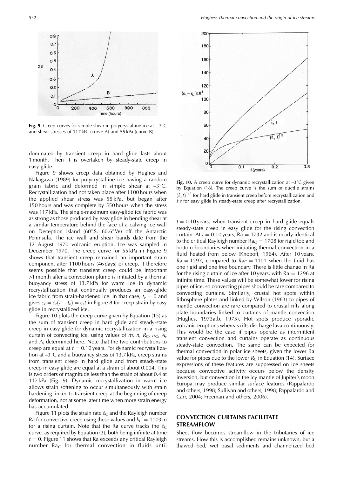

**Fig. 9.** Creep curves for simple shear in polycrystalline ice at  $-3^{\circ}$ C and shear stresses of 117 kPa (curve A) and 55 kPa (curve B).

dominated by transient creep in hard glide lasts about 1 month. Then it is overtaken by steady-state creep in easy glide.

Figure 9 shows creep data obtained by Hughes and Nakagawa (1989) for polycrystalline ice having a random grain fabric and deformed in simple shear at  $-3^{\circ}$ C. Recrystallization had not taken place after 1100 hours when the applied shear stress was 55 kPa, but began after 150 hours and was complete by 550 hours when the stress was 117 kPa. The single-maximum easy-glide ice fabric was as strong as those produced by easy glide in bending shear at a similar temperature behind the face of a calving ice wall on Deception Island (60°S, 60.6°W) off the Antarctic Peninsula. The ice wall and shear bands date from the 12 August 1970 volcanic eruption. Ice was sampled in December 1970. The creep curve for 55 kPa in Figure 9 shows that transient creep remained an important strain component after 1100 hours (46 days) of creep. It therefore seems possible that transient creep could be important >1 month after a convection plume is initiated by a thermal buoyancy stress of 13.7 kPa for warm ice in dynamic recrystallization that continually produces an easy-glide ice fabric from strain-hardened ice. In that case,  $t_v = 0$  and gives  $\varepsilon_r = \dot{\varepsilon}_r(t - t_v) = \dot{\varepsilon}_r t$  in Figure 8 for creep strain by easy glide in recrystallized ice.

Figure 10 plots the creep curve given by Equation (15) as the sum of transient creep in hard glide and steady-state creep in easy glide for dynamic recrystallization in a rising curtain of convecting ice, using values of m, n,  $R_C$ ,  $\sigma_C$ ,  $A_v$ and  $A_r$  determined here. Note that the two contributions to creep are equal at  $t = 0.10$  years. For dynamic recrystallization at  $-3^{\circ}$ C and a buoyancy stress of 13.7 kPa, creep strains from transient creep in hard glide and from steady-state creep in easy glide are equal at a strain of about 0.004. This is two orders of magnitude less than the strain of about 0.4 at 117 kPa (Fig. 9). Dynamic recrystallization in warm ice allows strain softening to occur simultaneously with strain hardening linked to transient creep at the beginning of creep deformation, not at some later time when more strain energy has accumulated.

Figure 11 plots the strain rate  $\dot{\varepsilon}_C$  and the Rayleigh number Ra for convective creep using these values and  $h<sub>C</sub> = 1103$  m for a rising curtain. Note that the Ra curve tracks the  $\dot{\varepsilon}_C$ curve, as required by Equation (3), both being infinite at time  $t = 0$ . Figure 11 shows that Ra exceeds any critical Rayleigh number  $Ra_C$  for thermal convection in fluids until



Fig. 10. A creep curve for dynamic recrystallization at  $-3^{\circ}$ C given by Equation (18). The creep curve is the sum of ductile strains  $(\dot{\varepsilon}_v t)^{1/3}$  for hard glide in transient creep before recrystallization and  $\varepsilon_{r}t$  for easy glide in steady-state creep after recrystallization.

 $t = 0.10$  years, when transient creep in hard glide equals steady-state creep in easy glide for the rising convection curtain. At  $t = 0.10$  years, Ra = 1732 and is nearly identical to the critical Rayleigh number  $Ra_C = 1708$  for rigid top and bottom boundaries when initiating thermal convection in a fluid heated from below (Knopoff, 1964). After 10 years,  $Ra = 1297$ , compared to  $Ra_C = 1101$  when the fluid has one rigid and one free boundary. There is little change in Ra for the rising curtain of ice after 10 years, with  $Ra = 1296$  at infinite time. These values will be somewhat lower for rising pipes of ice, so convecting pipes should be rare compared to convecting curtains. Similarly, crustal hot spots within lithosphere plates and linked by Wilson (1963) to pipes of mantle convection are rare compared to crustal rifts along plate boundaries linked to curtains of mantle convection (Hughes, 1973a,b, 1975). Hot spots produce sporadic volcanic eruptions whereas rifts discharge lava continuously. This would be the case if pipes operate as intermittent transient convection and curtains operate as continuous steady-state convection. The same can be expected for thermal convection in polar ice sheets, given the lower Ra value for pipes due to the lower  $R_C$  in Equation (14). Surface expressions of these features are suppressed on ice sheets because convective activity occurs below the density inversion, but convection in the icy mantle of Jupiter's moon Europa may produce similar surface features (Pappalardo and others, 1998; Sullivan and others, 1998; Pappalardo and Carr, 2004; Freeman and others, 2006).

## **CONVECTION CURTAINS FACILITATE STREAMFLOW**

Sheet flow becomes streamflow in the tributaries of ice streams. How this is accomplished remains unknown, but a thawed bed, wet basal sediments and channelized bed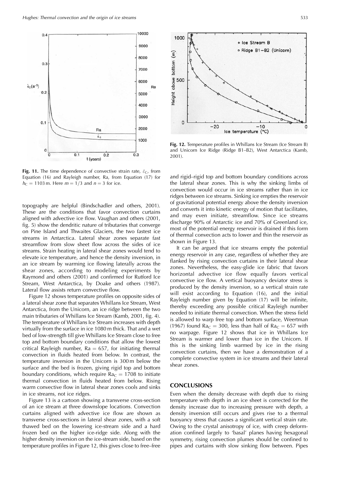

Fig. 11. The time dependence of convective strain rate,  $\varepsilon_C$ , from Equation (16) and Rayleigh number, Ra, from Equation (17) for  $h_c = 1103$  m. Here  $m = 1/3$  and  $n = 3$  for ice.

topography are helpful (Bindschadler and others, 2001). These are the conditions that favor convection curtains aligned with advective ice flow. Vaughan and others (2001, fig. 5) show the dendritic nature of tributaries that converge on Pine Island and Thwaites Glaciers, the two fastest ice streams in Antarctica. Lateral shear zones separate fast streamflow from slow sheet flow across the sides of ice streams. Strain heating in lateral shear zones would tend to elevate ice temperature, and hence the density inversion, in an ice stream by warming ice flowing laterally across the shear zones, according to modeling experiments by Raymond and others (2001) and confirmed for Rutford Ice Stream, West Antarctica, by Doake and others (1987). Lateral flow assists return convective flow.

Figure 12 shows temperature profiles on opposite sides of a lateral shear zone that separates Whillans Ice Stream, West Antarctica, from the Unicorn, an ice ridge between the two main tributaries of Whillans Ice Stream (Kamb, 2001, fig. 4). The temperature of Whillans Ice Stream increases with depth virtually from the surface in ice 1080 m thick. That and a wet bed of low-strength till give Whillans Ice Stream close to free top and bottom boundary conditions that allow the lowest critical Rayleigh number,  $Ra = 657$ , for initiating thermal convection in fluids heated from below. In contrast, the temperature inversion in the Unicorn is 300 m below the surface and the bed is frozen, giving rigid top and bottom boundary conditions, which require  $Ra_C = 1708$  to initiate thermal convection in fluids heated from below. Rising warm convective flow in lateral shear zones cools and sinks in ice streams, not ice ridges.

Figure 13 is a cartoon showing a transverse cross-section of an ice stream at three downslope locations. Convection curtains aligned with advective ice flow are shown as transverse cross-sections in lateral shear zones, with a soft thawed bed on the lowering ice-stream side and a hard frozen bed on the higher ice-ridge side. Along with the higher density inversion on the ice-stream side, based on the temperature profiles in Figure 12, this gives close to free–free



Fig. 12. Temperature profiles in Whillans Ice Stream (Ice Stream B) and Unicorn Ice Ridge (Ridge B1-B2), West Antarctica (Kamb, 2001).

and rigid-rigid top and bottom boundary conditions across the lateral shear zones. This is why the sinking limbs of convection would occur in ice streams rather than in ice ridges between ice streams. Sinking ice empties the reservoir of gravitational potential energy above the density inversion and converts it into kinetic energy of motion that facilitates, and may even initiate, streamflow. Since ice streams discharge 90% of Antarctic ice and 70% of Greenland ice, most of the potential energy reservoir is drained if this form of thermal convection acts to lower and thin the reservoir as shown in Figure 13.

It can be argued that ice streams empty the potential energy reservoir in any case, regardless of whether they are flanked by rising convection curtains in their lateral shear zones. Nevertheless, the easy-glide ice fabric that favors horizontal advective ice flow equally favors vertical convective ice flow. A vertical buoyancy deviator stress is produced by the density inversion, so a vertical strain rate will exist according to Equation (16), and the initial Rayleigh number given by Equation (17) will be infinite, thereby exceeding any possible critical Rayleigh number needed to initiate thermal convection. When the stress field is allowed to warp free top and bottom surface, Weertman (1967) found  $Ra_C = 300$ , less than half of  $Ra_C = 657$  with no warpage. Figure 12 shows that ice in Whillans Ice Stream is warmer and lower than ice in the Unicorn. If this is the sinking limb warmed by ice in the rising convection curtains, then we have a demonstration of a complete convective system in ice streams and their lateral shear zones.

#### **CONCLUSIONS**

Even when the density decrease with depth due to rising temperature with depth in an ice sheet is corrected for the density increase due to increasing pressure with depth, a density inversion still occurs and gives rise to a thermal buoyancy stress that causes a significant vertical strain rate. Owing to the crystal anisotropy of ice, with creep deformation confined largely to 'basal' planes having hexagonal symmetry, rising convection plumes should be confined to pipes and curtains with slow sinking flow between. Pipes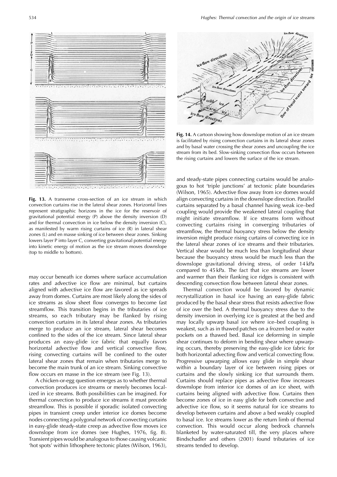

Fig. 13. A transverse cross-section of an ice stream in which convection curtains rise in the lateral shear zones. Horizontal lines represent stratigraphic horizons in the ice for the reservoir of gravitational potential energy (P) above the density inversion (D) and for thermal convection in ice below the density inversion (C), as manifested by warm rising curtains of ice (R) in lateral shear zones (L) and en masse sinking of ice between shear zones. Sinking lowers layer P into layer C, converting gravitational potential energy into kinetic energy of motion as the ice stream moves downslope (top to middle to bottom).

may occur beneath ice domes where surface accumulation rates and advective ice flow are minimal, but curtains aligned with advective ice flow are favored as ice spreads away from domes. Curtains are most likely along the sides of ice streams as slow sheet flow converges to become fast streamflow. This transition begins in the tributaries of ice streams, so each tributary may be flanked by rising convection curtains in its lateral shear zones. As tributaries merge to produce an ice stream, lateral shear becomes confined to the sides of the ice stream. Since lateral shear produces an easy-glide ice fabric that equally favors horizontal advective flow and vertical convective flow, rising convecting curtains will be confined to the outer lateral shear zones that remain when tributaries merge to become the main trunk of an ice stream. Sinking convective flow occurs en masse in the ice stream (see Fig. 13).

A chicken-or-egg question emerges as to whether thermal convection produces ice streams or merely becomes localized in ice streams. Both possibilities can be imagined. For thermal convection to produce ice streams it must precede streamflow. This is possible if sporadic isolated convecting pipes in transient creep under interior ice domes become nodes connecting a polygonal network of convecting curtains in easy-glide steady-state creep as advective flow moves ice downslope from ice domes (see Hughes, 1976, fig. 8). Transient pipes would be analogous to those causing volcanic 'hot spots' within lithosphere tectonic plates (Wilson, 1963),



Fig. 14. A cartoon showing how downslope motion of an ice stream is facilitated by rising convection curtains in its lateral shear zones and by basal water crossing the shear zones and uncoupling the ice stream from its bed. Slow-sinking convection flow occurs between the rising curtains and lowers the surface of the ice stream.

and steady-state pipes connecting curtains would be analogous to hot 'triple junctions' at tectonic plate boundaries (Wilson, 1965). Advective flow away from ice domes would align convecting curtains in the downslope direction. Parallel curtains separated by a basal channel having weak ice-bed coupling would provide the weakened lateral coupling that might initiate streamflow. If ice streams form without convecting curtains rising in converging tributaries of streamflow, the thermal buoyancy stress below the density inversion might produce rising curtains of convecting ice in the lateral shear zones of ice streams and their tributaries. Vertical shear would be much less than longitudinal shear because the buoyancy stress would be much less than the downslope gravitational driving stress, of order 14 kPa compared to 45 kPa. The fact that ice streams are lower and warmer than their flanking ice ridges is consistent with descending convection flow between lateral shear zones.

Thermal convection would be favored by dynamic recrystallization in basal ice having an easy-glide fabric produced by the basal shear stress that resists advective flow of ice over the bed. A thermal buoyancy stress due to the density inversion in overlying ice is greatest at the bed and may locally upwarp basal ice where ice-bed coupling is weakest, such as in thawed patches on a frozen bed or water pockets on a thawed bed. Basal ice deforming in simple shear continues to deform in bending shear where upwarping occurs, thereby preserving the easy-glide ice fabric for both horizontal advecting flow and vertical convecting flow. Progressive upwarping allows easy glide in simple shear within a boundary layer of ice between rising pipes or curtains and the slowly sinking ice that surrounds them. Curtains should replace pipes as advective flow increases downslope from interior ice domes of an ice sheet, with curtains being aligned with advective flow. Curtains then become zones of ice in easy glide for both convective and advective ice flow, so it seems natural for ice streams to develop between curtains and above a bed weakly coupled to basal ice. Ice streams lower as the return limb of thermal convection. This would occur along bedrock channels blanketed by water-saturated till, the very places where Bindschadler and others (2001) found tributaries of ice streams tended to develop.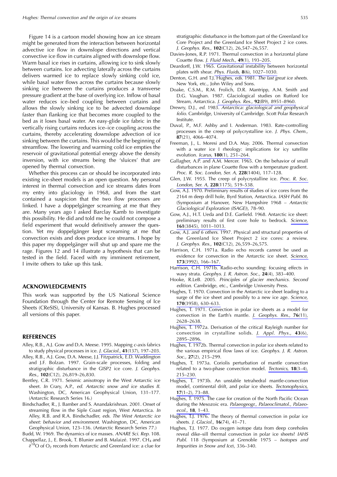Figure 14 is a cartoon model showing how an ice stream might be generated from the interaction between horizontal advective ice flow in downslope directions and vertical convective ice flow in curtains aligned with downslope flow. Warm basal ice rises in curtains, allowing ice to sink slowly between curtains. Ice advecting laterally across the curtains delivers warmed ice to replace slowly sinking cold ice, while basal water flows across the curtains because slowly sinking ice between the curtains produces a transverse pressure gradient at the base of overlying ice. Inflow of basal water reduces ice-bed coupling between curtains and allows the slowly sinking ice to be advected downslope faster than flanking ice that becomes more coupled to the bed as it loses basal water. An easy-glide ice fabric in the vertically rising curtains reduces ice-ice coupling across the curtains, thereby accelerating downslope advection of ice sinking between the curtains. This would be the beginning of streamflow. The lowering and warming cold ice empties the reservoir of gravitational potential energy above the density inversion, with ice streams being the 'sluices' that are opened by thermal convection.

Whether this process can or should be incorporated into existing ice-sheet models is an open question. My personal interest in thermal convection and ice streams dates from my entry into glaciology in 1968, and from the start contained a suspicion that the two flow processes are linked. I have a doppelgänger screaming at me that they are. Many years ago I asked Barclay Kamb to investigate this possibility. He did and told me he could not compose a field experiment that would definitively answer the question. Yet my doppelgänger kept screaming at me that convection exists and does produce ice streams. I hope by this paper my doppelgänger will shut up and spare me the rage. Figures 12 and 14 illustrate a hypothesis that can be tested in the field. Faced with my imminent retirement, I invite others to take up this task.

#### **ACKNOWLEDGEMENTS**

This work was supported by the US National Science Foundation through the Center for Remote Sensing of Ice Sheets (CReSIS), University of Kansas. B. Hughes processed all versions of this paper.

#### **REFERENCES**

- Alley, R.B., A.J. Gow and D.A. Meese. 1995. Mapping c-axis fabrics to study physical processes in ice. J. Glaciol., 41(137), 197-203.
- Alley, R.B., A.J. Gow, D.A. Meese, J.J. Fitzpatrick, E.D. Waddington and J.F. Bolzan. 1997. Grain-scale processes, folding and stratigraphic disturbance in the GISP2 ice core. J. Geophys. Res., 102(C12), 26,819-26,830.
- Bentley, C.R. 1971. Seismic anisotropy in the West Antarctic ice sheet. In Crary, A.P., ed. Antarctic snow and ice studies II. Washington, DC, American Geophysical Union, 131-177. (Antarctic Research Series 16.)
- Bindschadler, R., J. Bamber and S. Anandakrishnan. 2001. Onset of streaming flow in the Siple Coast region, West Antarctica. In Alley, R.B. and R.A. Bindschadler, eds. The West Antarctic ice sheet: behavior and environment. Washington, DC, American Geophysical Union, 123-136. (Antarctic Research Series 77.)
- Budd, W. 1969. The dynamics of ice masses. ANARE Sci. Rep. 108. Chappellaz, J., E. Brook, T. Blunier and B. Malaizé. 1997. CH<sub>4</sub> and  $\delta^{18}$ O of O<sub>2</sub> records from Antarctic and Greenland ice: a clue for

stratigraphic disturbance in the bottom part of the Greenland Ice Core Project and the Greenland Ice Sheet Project 2 ice cores. J. Geophys. Res., 102(C12), 26,547-26,557.

- Davies-Jones, R.P. 1971. Thermal convection in a horizontal plane Couette flow. J. Fluid Mech., 49(1), 193-205.
- Deardorff, J.W. 1965. Gravitational instability between horizontal plates with shear. Phys. Fluids, 8(6), 1027-1030.
- Denton, G.H. and T.J. Hughes, eds. 1981. The last great ice sheets. New York, etc., John Wiley and Sons.
- Doake, C.S.M., R.M. Frolich, D.R. Mantripp, A.M. Smith and D.G. Vaughan. 1987. Glaciological studies on Rutford Ice Stream, Antarctica. J. Geophys. Res., 92(B9), 8951-8960.
- Drewry, D.J., ed. 1983. Antarctica: glaciological and geophysical folio. Cambridge, University of Cambridge. Scott Polar Research Institute.
- Duval, P., M.F. Ashby and I. Anderman. 1983. Rate-controlling processes in the creep of polycrystalline ice. J. Phys. Chem., 87(21), 4066-4074.
- Freeman, J., L. Moresi and D.A. May. 2006. Thermal convection with a water ice I rheology: implications for icy satellite evolution. Icarus, 180(1), 251-264.
- Gallagher, A.P. and A.M. Mercer. 1965. On the behavior of small disturbances in plane Couette flow with a temperature gradient. Proc. R. Soc. London, Ser. A, 228(1404), 117-128.
- Glen, J.W. 1955. The creep of polycrystalline ice. Proc. R. Soc. London, Ser. A, 228(1175), 519-538.
- Gow, A.J. 1970. Preliminary results of studies of ice cores from the 2164 m deep drill hole, Byrd Station, Antarctica. IASH Publ. 86 (Symposium at Hanover, New Hampshire 1968 - Antarctic Glaciological Exploration (ISAGE)), 78-90.
- Gow, A.J., H.T. Ueda and D.E. Garfield. 1968. Antarctic ice sheet: preliminary results of first core hole to bedrock. Science, 161(3845), 1011-1013.
- Gow, A.J. and 6 others. 1997. Physical and structural properties of the Greenland Ice Sheet Project 2 ice cores: a review. J. Geophys. Res., 102(C12), 26,559-26,575.
- Harrison, C.H. 1971a. Radio echo records cannot be used as evidence for convection in the Antarctic ice sheet. Science, 173(3992), 166-167.
- Harrison, C.H. 1971b. Radio-echo sounding: focusing effects in wavy strata. Geophys. J. R. Astron. Soc., 24(4), 383-400.
- Hooke, R.LeB. 2005. Principles of glacier mechanics. Second edition. Cambridge, etc., Cambridge University Press.
- Hughes, T. 1970. Convection in the Antarctic ice sheet leading to a surge of the ice sheet and possibly to a new ice age. Science, 170(3958), 630-633.
- Hughes, T. 1971. Convection in polar ice sheets as a model for convection in the Earth's mantle. J. Geophys. Res., 76(11), 2628-2638.
- Hughes, T. 1972a. Derivation of the critical Rayleigh number for convection in crystalline solids. J. Appl. Phys., 43(6), 2895-2896.
- Hughes, T. 1972b. Thermal convection in polar ice sheets related to the various empirical flow laws of ice. Geophys. J. R. Astron. Soc., 27(2), 215-299.
- Hughes, T. 1973a. Coriolis perturbation of mantle convection related to a two-phase convection model. Tectonics,  $18(3-4)$ ,  $215 - 230$ .
- Hughes, T. 1973b. An unstable tetrahedral mantle-convection model, continental drift, and polar ice sheets. Tectonophysics,  $17(1-2), 73-88.$
- Hughes, T. 1975. The case for creation of the North Pacific Ocean during the Mesozoic era. Palaeogeogr., Palaeoclimatol., Palaeoecol., **18**, 1-43.
- Hughes, T.J. 1976. The theory of thermal convection in polar ice sheets. *J. Glaciol.*, **16**(74), 41-71.
- Hughes, T.J. 1977. Do oxygen isotope data from deep coreholes reveal dike-sill thermal convection in polar ice sheets? IAHS Publ. 118 (Symposium at Grenoble 1975 - Isotopes and Impurities in Snow and Ice), 336-340.